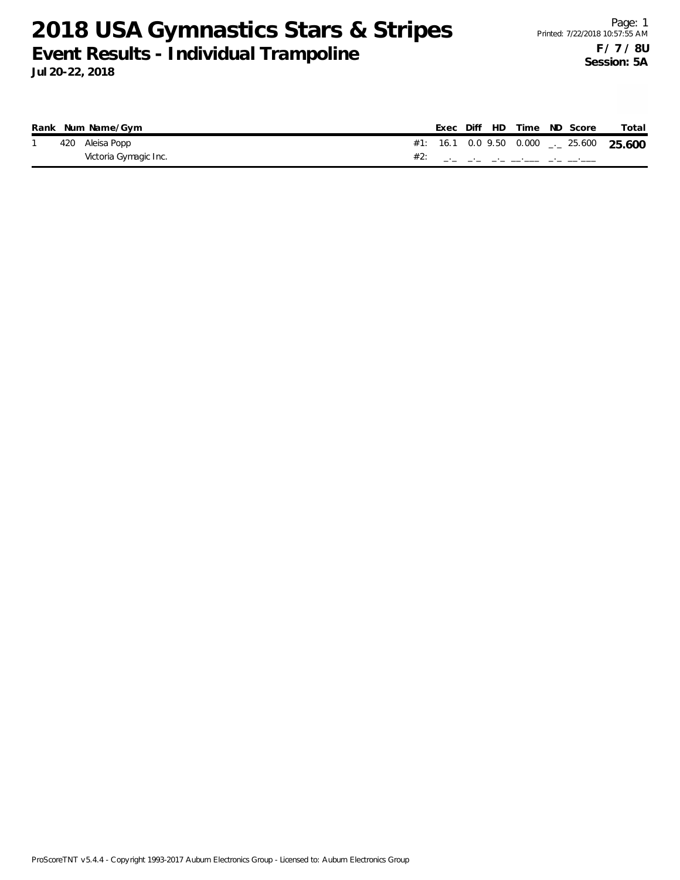|  | Rank Num Name/Gym     |  |  | Exec Diff HD Time ND Score               | Total |
|--|-----------------------|--|--|------------------------------------------|-------|
|  | 420 Aleisa Popp       |  |  | #1: 16.1 0.0 9.50 0.000 $-25.600$ 25.600 |       |
|  | Victoria Gymagic Inc. |  |  |                                          |       |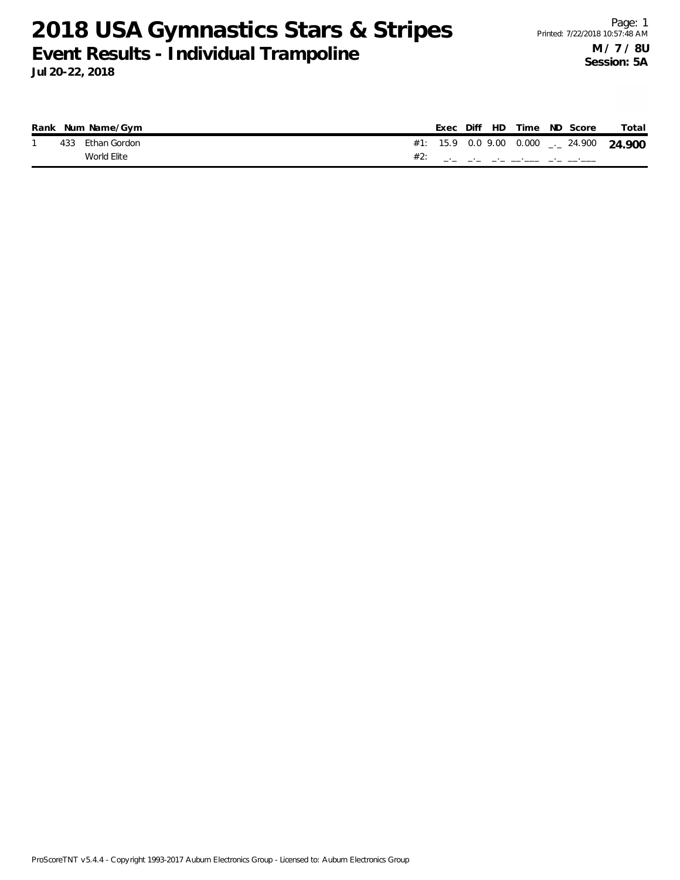|  | Rank Num Name/Gym |     |  |  | Exec Diff HD Time ND Score | Total                                    |
|--|-------------------|-----|--|--|----------------------------|------------------------------------------|
|  | 433 Ethan Gordon  |     |  |  |                            | #1: 15.9 0.0 9.00 0.000 $-24.900$ 24.900 |
|  | World Elite       | #2: |  |  |                            |                                          |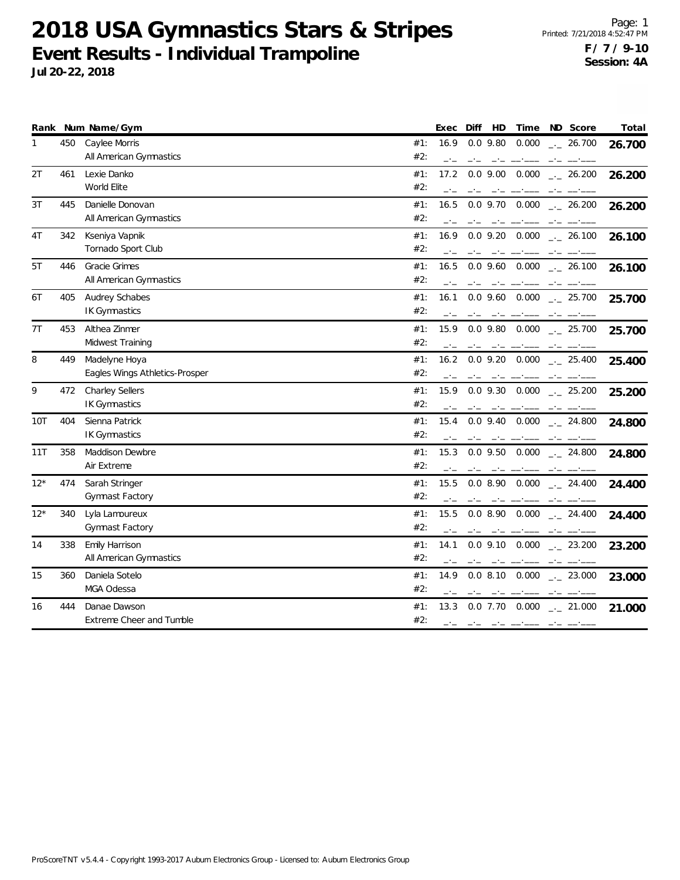|       |     | Rank Num Name/Gym              |     | Exec | Diff<br>HD                                                                                                                                                                                                                                                                                                                                                                                                                                                                 | Time            | ND Score             | Total  |
|-------|-----|--------------------------------|-----|------|----------------------------------------------------------------------------------------------------------------------------------------------------------------------------------------------------------------------------------------------------------------------------------------------------------------------------------------------------------------------------------------------------------------------------------------------------------------------------|-----------------|----------------------|--------|
| 1     | 450 | Caylee Morris                  | #1: | 16.9 | $0.0$ 9.80                                                                                                                                                                                                                                                                                                                                                                                                                                                                 | 0.000           | $\frac{1}{2}$ 26.700 | 26.700 |
|       |     | All American Gymnastics        | #2: | $-1$ | $-1$                                                                                                                                                                                                                                                                                                                                                                                                                                                                       |                 |                      |        |
| 2T    | 461 | Lexie Danko                    | #1: | 17.2 | $0.0$ 9.00                                                                                                                                                                                                                                                                                                                                                                                                                                                                 | 0.000           | $\frac{1}{2}$ 26.200 | 26.200 |
|       |     | World Elite                    | #2: |      |                                                                                                                                                                                                                                                                                                                                                                                                                                                                            |                 |                      |        |
| 3T    | 445 | Danielle Donovan               | #1: | 16.5 | $0.0$ 9.70 $0.000$                                                                                                                                                                                                                                                                                                                                                                                                                                                         |                 | $\frac{1}{2}$ 26.200 | 26.200 |
|       |     | All American Gymnastics        | #2: |      |                                                                                                                                                                                                                                                                                                                                                                                                                                                                            |                 |                      |        |
| 4T    | 342 | Kseniya Vapnik                 | #1: | 16.9 | $0.0$ 9.20 $0.000$                                                                                                                                                                                                                                                                                                                                                                                                                                                         |                 | $\frac{1}{2}$ 26.100 | 26.100 |
|       |     | Tornado Sport Club             | #2: |      |                                                                                                                                                                                                                                                                                                                                                                                                                                                                            |                 |                      |        |
| 5T    | 446 | Gracie Grimes                  | #1: | 16.5 | $0.0$ 9.60                                                                                                                                                                                                                                                                                                                                                                                                                                                                 | 0.000           | $-26.100$            | 26.100 |
|       |     | All American Gymnastics        | #2: |      |                                                                                                                                                                                                                                                                                                                                                                                                                                                                            |                 |                      |        |
| 6T    | 405 | Audrey Schabes                 | #1: | 16.1 | $0.0$ 9.60                                                                                                                                                                                                                                                                                                                                                                                                                                                                 | 0.000           | $-25.700$            | 25.700 |
|       |     | <b>IK Gymnastics</b>           | #2: |      |                                                                                                                                                                                                                                                                                                                                                                                                                                                                            |                 |                      |        |
| 7T    | 453 | Althea Zinmer                  | #1: | 15.9 | $0.0$ 9.80 $0.000$                                                                                                                                                                                                                                                                                                                                                                                                                                                         |                 | $-25.700$            | 25.700 |
|       |     | Midwest Training               | #2: |      |                                                                                                                                                                                                                                                                                                                                                                                                                                                                            |                 |                      |        |
| 8     | 449 | Madelyne Hoya                  | #1: | 16.2 | $0.0$ 9.20                                                                                                                                                                                                                                                                                                                                                                                                                                                                 | 0.000           | $-25.400$            | 25.400 |
|       |     | Eagles Wings Athletics-Prosper | #2: |      |                                                                                                                                                                                                                                                                                                                                                                                                                                                                            |                 |                      |        |
| 9     | 472 | <b>Charley Sellers</b>         | #1: | 15.9 | $0.0$ 9.30                                                                                                                                                                                                                                                                                                                                                                                                                                                                 | 0.000           | $-25.200$            | 25.200 |
|       |     | <b>IK Gymnastics</b>           | #2: |      |                                                                                                                                                                                                                                                                                                                                                                                                                                                                            |                 |                      |        |
| 10T   | 404 | Sienna Patrick                 | #1: | 15.4 | $0.0$ 9.40 $0.000$                                                                                                                                                                                                                                                                                                                                                                                                                                                         |                 | $-24.800$            | 24.800 |
|       |     | <b>IK Gymnastics</b>           | #2: |      |                                                                                                                                                                                                                                                                                                                                                                                                                                                                            | مستحقق المستحقق |                      |        |
| 11T   | 358 | <b>Maddison Dewbre</b>         | #1: | 15.3 | $0.0$ 9.50                                                                                                                                                                                                                                                                                                                                                                                                                                                                 | 0.000           | $\sim$ 24.800        | 24.800 |
|       |     | Air Extreme                    | #2: |      |                                                                                                                                                                                                                                                                                                                                                                                                                                                                            |                 |                      |        |
| $12*$ | 474 | Sarah Stringer                 | #1: | 15.5 | 0.0 8.90                                                                                                                                                                                                                                                                                                                                                                                                                                                                   | 0.000           | $\frac{1}{2}$ 24.400 | 24.400 |
|       |     | Gymnast Factory                | #2: |      |                                                                                                                                                                                                                                                                                                                                                                                                                                                                            |                 |                      |        |
| $12*$ | 340 | Lyla Lamoureux                 | #1: | 15.5 | 0.0 8.90                                                                                                                                                                                                                                                                                                                                                                                                                                                                   | 0.000           | $-24.400$            | 24.400 |
|       |     | Gymnast Factory                | #2: |      | $\frac{1}{2} \left( \frac{1}{2} \right) \left( \frac{1}{2} \right) \left( \frac{1}{2} \right) \left( \frac{1}{2} \right) \left( \frac{1}{2} \right) \left( \frac{1}{2} \right) \left( \frac{1}{2} \right) \left( \frac{1}{2} \right) \left( \frac{1}{2} \right) \left( \frac{1}{2} \right) \left( \frac{1}{2} \right) \left( \frac{1}{2} \right) \left( \frac{1}{2} \right) \left( \frac{1}{2} \right) \left( \frac{1}{2} \right) \left( \frac{1}{2} \right) \left( \frac$ |                 | $-1$                 |        |
| 14    | 338 | Emily Harrison                 | #1: | 14.1 | $0.0$ 9.10                                                                                                                                                                                                                                                                                                                                                                                                                                                                 | 0.000           | $\frac{1}{2}$ 23.200 | 23.200 |
|       |     | All American Gymnastics        | #2: |      |                                                                                                                                                                                                                                                                                                                                                                                                                                                                            |                 | $-1$                 |        |
| 15    | 360 | Daniela Sotelo                 | #1: | 14.9 | 0.08.10                                                                                                                                                                                                                                                                                                                                                                                                                                                                    | 0.000           | $\frac{1}{2}$ 23.000 | 23.000 |
|       |     | MGA Odessa                     | #2: |      |                                                                                                                                                                                                                                                                                                                                                                                                                                                                            |                 |                      |        |
| 16    | 444 | Danae Dawson                   | #1: | 13.3 | $0.0$ 7.70                                                                                                                                                                                                                                                                                                                                                                                                                                                                 | 0.000           | $-21.000$            | 21.000 |
|       |     | Extreme Cheer and Tumble       | #2: | $-1$ | المستنافسين الماجين والمنافس                                                                                                                                                                                                                                                                                                                                                                                                                                               |                 |                      |        |
|       |     |                                |     |      |                                                                                                                                                                                                                                                                                                                                                                                                                                                                            |                 |                      |        |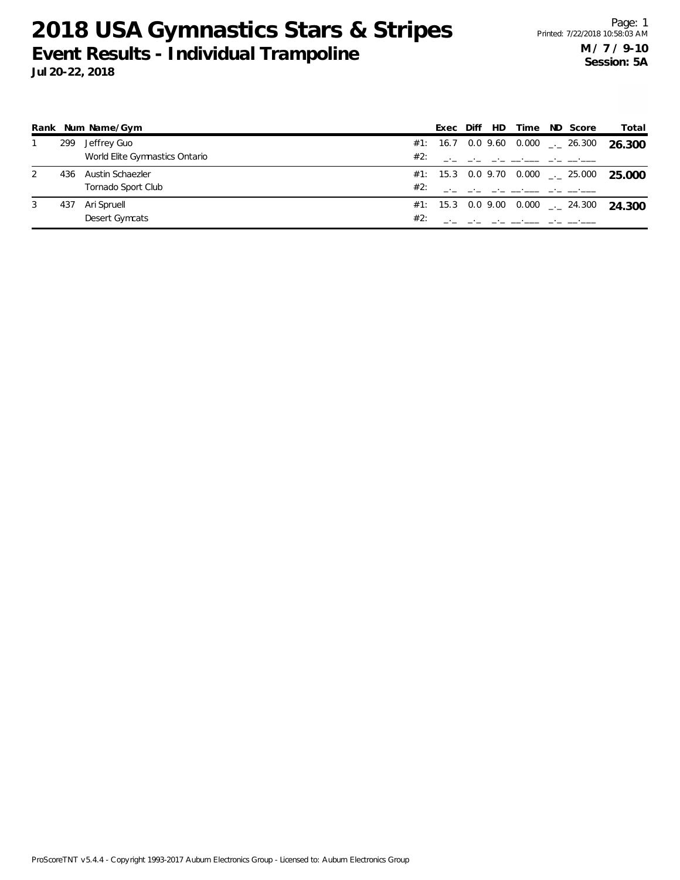**Rank Num Name/Gym Exec Diff HD Time ND Score Total**  $\overline{\phantom{a}}$ 1 299 Jeffrey Guo 0.000 \_.\_ **26.300** 26.300 #1: 16.7 0.0 9.60 World Elite Gymnastics Ontario \_.<br>\_.\_ \_\_\_ \_\_ \_\_ \_\_\_ \_\_\_\_ \_\_ #2: \_\_\_ \_\_ \_\_ \_\_ \_\_\_ \_\_ \_\_ \_\_ \_.\_  $\overline{\phantom{a}}$ 2 436 Austin Schaezler 0.000 Tornado Sport Club \_.<br>\_.\_ \_\_\_ \_\_ \_\_ \_\_\_ \_\_\_\_ \_\_ 25.000 #2: \_\_\_ \_\_ \_\_ \_\_ \_\_\_ \_\_ \_\_ \_\_ #1: 15.3 0.0 9.70 \_.\_

|  | World Elite Gymnastics Ontario | #2: |  |  | and the state and all the analysis                  |  |
|--|--------------------------------|-----|--|--|-----------------------------------------------------|--|
|  | 436 Austin Schaezler           |     |  |  | #1: 15.3 0.0 9.70 0.000 $\frac{1}{2}$ 25.000 25.000 |  |
|  | Tornado Sport Club             | #2: |  |  | المساحب المحامين المساحين المحارب المحارب المحارب   |  |
|  | 437 Ari Spruell                |     |  |  | #1: 15.3 0.0 9.00 0.000 $\rightarrow$ 24.300 24.300 |  |
|  | Desert Gymcats                 |     |  |  | and the state of the second contract and the second |  |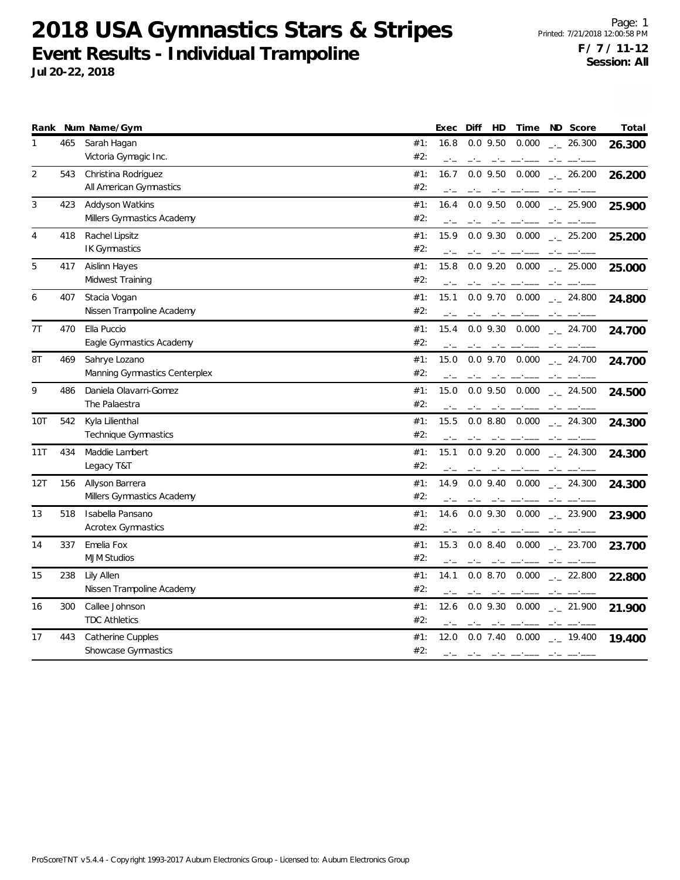|     |     | Rank Num Name/Gym                              | Time<br>ND Score<br>Total<br>Exec<br>Diff<br>HD                                                                                                                                                                                                                                                                                                                                                                                                                                                                                                                                                           |
|-----|-----|------------------------------------------------|-----------------------------------------------------------------------------------------------------------------------------------------------------------------------------------------------------------------------------------------------------------------------------------------------------------------------------------------------------------------------------------------------------------------------------------------------------------------------------------------------------------------------------------------------------------------------------------------------------------|
| 1   | 465 | Sarah Hagan<br>Victoria Gymagic Inc.           | #1:<br>$0.0$ 9.50<br>0.000<br>16.8<br>$\frac{1}{2}$ 26.300<br>26.300<br>#2:<br>$-1$<br>$-1$<br>$\begin{tabular}{ll} \multicolumn{2}{l}{} & \multicolumn{2}{l}{} & \multicolumn{2}{l}{} & \multicolumn{2}{l}{} & \multicolumn{2}{l}{} & \multicolumn{2}{l}{} & \multicolumn{2}{l}{} & \multicolumn{2}{l}{} & \multicolumn{2}{l}{} & \multicolumn{2}{l}{} & \multicolumn{2}{l}{} & \multicolumn{2}{l}{} & \multicolumn{2}{l}{} & \multicolumn{2}{l}{} & \multicolumn{2}{l}{} & \multicolumn{2}{l}{} & \multicolumn{2}{l}{} & \multicolumn{2}{l}{} & \multicolumn{2}{l}{} & \multic$<br>$-1 - 1 = -1 - -1 -$ |
| 2   | 543 | Christina Rodriguez<br>All American Gymnastics | #1:<br>16.7<br>$0.0$ 9.50<br>0.000<br>$\frac{1}{2}$ 26.200<br>26.200<br>#2:<br>$-1$                                                                                                                                                                                                                                                                                                                                                                                                                                                                                                                       |
| 3   | 423 | Addyson Watkins<br>Millers Gymnastics Academy  | $-1$<br>0.000<br>#1:<br>16.4<br>$0.0$ 9.50<br>$\frac{1}{2}$ 25.900<br>25.900<br>#2:<br>$-1$<br>$-1$<br>$\frac{1}{2} \left( \frac{1}{2} \right) \left( \frac{1}{2} \right) \left( \frac{1}{2} \right) \left( \frac{1}{2} \right) \left( \frac{1}{2} \right) \left( \frac{1}{2} \right) \left( \frac{1}{2} \right) \left( \frac{1}{2} \right) \left( \frac{1}{2} \right) \left( \frac{1}{2} \right) \left( \frac{1}{2} \right) \left( \frac{1}{2} \right) \left( \frac{1}{2} \right) \left( \frac{1}{2} \right) \left( \frac{1}{2} \right) \left( \frac{1}{2} \right) \left( \frac$<br>$-1$                 |
| 4   | 418 | Rachel Lipsitz<br>IK Gymnastics                | #1:<br>15.9<br>0.0 9.30 0.000<br>$\sim$ 25.200<br>25.200<br>#2:<br>مستحقق والمستحقق والمستحدث                                                                                                                                                                                                                                                                                                                                                                                                                                                                                                             |
| 5   | 417 | Aislinn Hayes<br>Midwest Training              | #1:<br>15.8<br>$0.0$ 9.20 $0.000$<br>$\frac{1}{2}$ 25.000<br>25.000<br>#2:<br>$-1$<br>$-\cdot -$<br>$\label{eq:reduced} \begin{split} \mathbf{u} & = \mathbf{u}^T \mathbf{u}^T \mathbf{u}^T \mathbf{u}^T \mathbf{u}^T \mathbf{u}^T \mathbf{u}^T \mathbf{u}^T \mathbf{u}^T \mathbf{u}^T \mathbf{u}^T \mathbf{u}^T \mathbf{u}^T \mathbf{u}^T \mathbf{u}^T \mathbf{u}^T \mathbf{u}^T \mathbf{u}^T \mathbf{u}^T \mathbf{u}^T \mathbf{u}^T \mathbf{u}^T \mathbf{u}^T \mathbf{u}^T \mathbf{u}^$<br>$ -$                                                                                                         |
| 6   | 407 | Stacia Vogan<br>Nissen Trampoline Academy      | #1:<br>15.1<br>$0.0$ 9.70 $0.000$ $_{\leftarrow}$ 24.800<br>24.800<br>#2:<br>$-1$                                                                                                                                                                                                                                                                                                                                                                                                                                                                                                                         |
| 7T  | 470 | Ella Puccio<br>Eagle Gymnastics Academy        | $0.0$ 9.30 $0.000$ $_{-1}$ 24.700<br>#1:<br>15.4<br>24.700<br>#2:<br>$-1$                                                                                                                                                                                                                                                                                                                                                                                                                                                                                                                                 |
| 8T  | 469 | Sahrye Lozano<br>Manning Gymnastics Centerplex | #1:<br>15.0<br>$0.0$ 9.70 $0.000$ $_{\leftarrow}$ 24.700<br>24.700<br>#2:<br>$-1$<br>$-1$                                                                                                                                                                                                                                                                                                                                                                                                                                                                                                                 |
| 9   | 486 | Daniela Olavarri-Gomez<br>The Palaestra        | #1:<br>15.0<br>$0.0$ 9.50 $0.000$<br>$\frac{1}{2}$ 24.500<br>24.500<br>#2:<br>$-1$<br>$-1$ $-1$<br>$-1$                                                                                                                                                                                                                                                                                                                                                                                                                                                                                                   |
| 10T | 542 | Kyla Lilienthal<br>Technique Gymnastics        | $0.0$ 8.80 $0.000$ $_{\sim}$ 24.300<br>#1:<br>15.5<br>24.300<br>#2:<br>the company of the company of the                                                                                                                                                                                                                                                                                                                                                                                                                                                                                                  |
| 11T | 434 | Maddie Lambert<br>Legacy T&T                   | 15.1<br>$0.0$ 9.20 $0.000$<br>#1:<br>$\frac{1}{2}$ 24.300<br>24.300<br>#2:<br>$-1$<br>$-1$<br>$\mathcal{L} = \mathcal{L} = \mathcal{L} = \mathcal{L} = \mathcal{L} = \mathcal{L} = \mathcal{L} = \mathcal{L} = \mathcal{L} = \mathcal{L} = \mathcal{L} = \mathcal{L} = \mathcal{L} = \mathcal{L} = \mathcal{L} = \mathcal{L} = \mathcal{L} = \mathcal{L} = \mathcal{L} = \mathcal{L} = \mathcal{L} = \mathcal{L} = \mathcal{L} = \mathcal{L} = \mathcal{L} = \mathcal{L} = \mathcal{L} = \mathcal{L} = \mathcal{L} = \mathcal{L} = \mathcal{L} = \mathcal$<br>$-\, -$                                     |
| 12T | 156 | Allyson Barrera<br>Millers Gymnastics Academy  | #1:<br>$0.0$ 9.40 $0.000$ $_{\leftarrow}$ 24.300<br>14.9<br>24.300<br>#2:                                                                                                                                                                                                                                                                                                                                                                                                                                                                                                                                 |
| 13  | 518 | Isabella Pansano<br><b>Acrotex Gymnastics</b>  | 14.6<br>0.0 9.30 0.000 . 23.900<br>#1:<br>23.900<br>#2:                                                                                                                                                                                                                                                                                                                                                                                                                                                                                                                                                   |
| 14  | 337 | Emelia Fox<br><b>MJM Studios</b>               | 15.3<br>#1:<br>0.08.40<br>0.000<br>$\frac{1}{2}$ 23.700<br>23.700<br>#2:<br>$-1$<br>مستحسب الساحب<br>$-1$<br>and the company of the company                                                                                                                                                                                                                                                                                                                                                                                                                                                               |
| 15  | 238 | Lily Allen<br>Nissen Trampoline Academy        | #1:<br>14.1<br>$0.0$ 8.70 $0.000$ $_{\leftarrow}$ 22.800<br>22.800<br>#2:<br>$-1$<br>$-1$<br>$-1$ $-1$                                                                                                                                                                                                                                                                                                                                                                                                                                                                                                    |
| 16  | 300 | Callee Johnson<br><b>TDC Athletics</b>         | #1:<br>12.6<br>$0.0$ 9.30 $0.000$<br>$\frac{1}{2}$ 21.900<br>21.900<br>#2:<br>$-\cdot$ $-$<br>- -<br>والمستور المتراجين                                                                                                                                                                                                                                                                                                                                                                                                                                                                                   |
| 17  | 443 | Catherine Cupples<br>Showcase Gymnastics       | #1:<br>$0.0$ 7.40 $0.000$ $_{\leftarrow}$ 19.400<br>12.0<br>19.400<br>#2:<br>$-1$<br>$\mathcal{L}(\mathcal{L}(\mathcal{L}))$ . The function of the set of the set of the $\mathcal{L}(\mathcal{L})$                                                                                                                                                                                                                                                                                                                                                                                                       |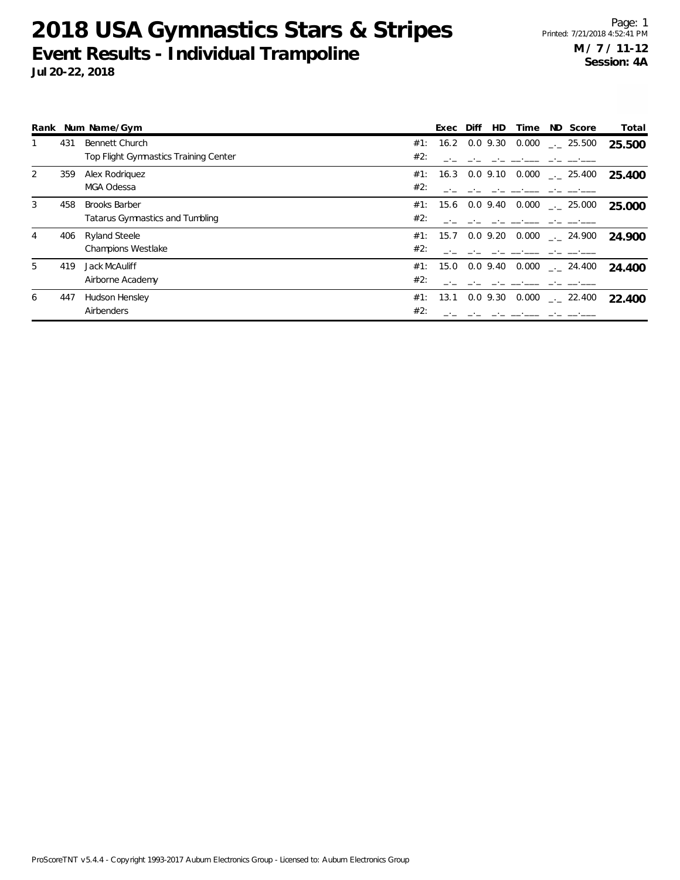**Rank Num Name/Gym Exec Diff HD Time ND Score Total** 1 431 Bennett Church 0.000 \_.\_ **25.500** 25.500 #1: 16.2 0.0 9.30 Top Flight Gymnastics Training Center

|    |     | Top Flight Gymnastics Training Center | #2:      |                                                    |        |
|----|-----|---------------------------------------|----------|----------------------------------------------------|--------|
|    | 359 | Alex Rodriguez                        |          | #1: 16.3 0.0 9.10<br>0.000<br>$\frac{1}{2}$ 25.400 | 25.400 |
|    |     | MGA Odessa                            | #2:      |                                                    |        |
|    | 458 | <b>Brooks Barber</b>                  |          | #1: 15.6 0.0 9.40 0.000 $\frac{1}{2}$ 25.000       | 25.000 |
|    |     | Tatarus Gymnastics and Tumbling       | #2:      |                                                    |        |
| 4  | 406 | Ryland Steele                         |          | #1: 15.7 0.0 9.20<br>0.000<br>$-24.900$            | 24.900 |
|    |     | <b>Champions Westlake</b>             | #2:      |                                                    |        |
| 5. | 419 | Jack McAuliff                         |          | #1: 15.0 0.0 9.40<br>$0.000$ $_{-.00}$ 24.400      | 24.400 |
|    |     | Airborne Academy                      | #2:      |                                                    |        |
| 6  | 447 | Hudson Hensley                        | #1: 13.1 | 0.0 9.30<br>0.000<br>$\therefore$ 22.400           | 22.400 |
|    |     | Airbenders                            | #2:      |                                                    |        |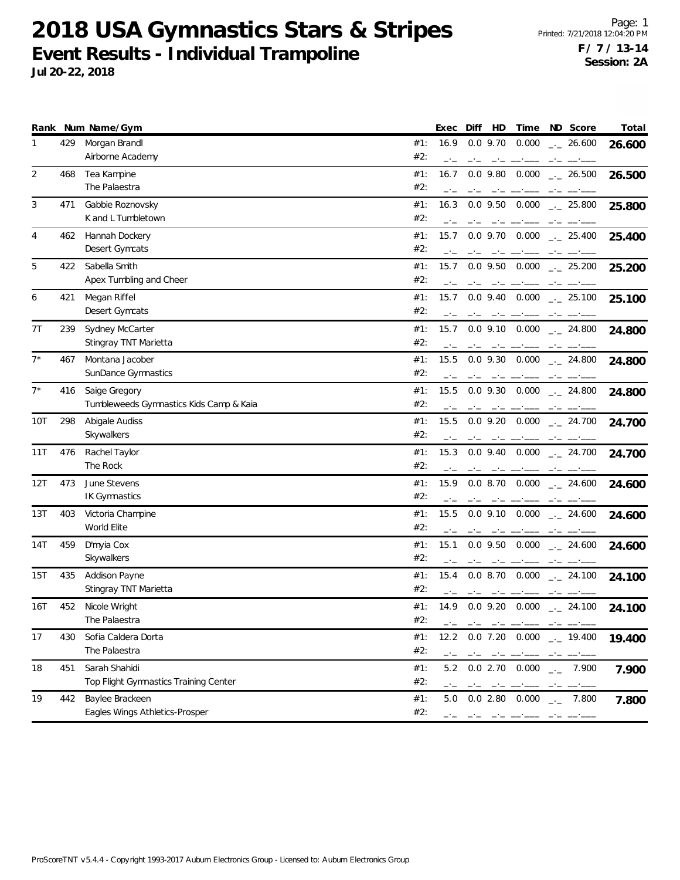| Morgan Brandl<br>429<br>16.9<br>$0.0$ 9.70<br>0.000<br>#1:<br>$-26.600$<br>1<br>26.600<br>Airborne Academy<br>#2:<br>—'—<br>$-1$<br>2<br>Tea Kampine<br>$0.0$ 9.80<br>468<br>#1:<br>16.7<br>0.000<br>$\frac{1}{2}$ 26.500<br>26.500<br>The Palaestra<br>#2:<br>3<br>Gabbie Roznovsky<br>471<br>$0.0$ 9.50<br>0.000<br>#1:<br>16.3<br>$\frac{1}{2}$ 25.800<br>25.800<br>K and L Tumbletown<br>#2:<br>0.000<br>4<br>Hannah Dockery<br>#1:<br>15.7<br>$0.0$ 9.70<br>462<br>$-25.400$<br>25.400<br>Desert Gymcats<br>#2:<br>$-1$<br>$-1$<br>$-1$<br>$-1$<br>Sabella Smith<br>5<br>422<br>#1:<br>15.7<br>0.000<br>$0.0$ 9.50<br>$-25.200$<br>25.200<br>Apex Tumbling and Cheer<br>#2:<br>Megan Riffel<br>15.7<br>6<br>421<br>#1:<br>$0.0$ 9.40 $0.000$<br>$\frac{1}{2}$ 25.100<br>25.100<br>Desert Gymcats<br>#2:<br>Sydney McCarter<br>7T<br>239<br>0.000<br>#1:<br>15.7<br>$0.0$ 9.10<br>$\frac{1}{2}$ 24.800<br>24.800<br>Stingray TNT Marietta<br>#2:<br>$-1$<br>$-1$<br>$-1$<br>$-1$<br>$7^*$<br>Montana Jacober<br>15.5<br>$0.0$ 9.30<br>0.000<br>467<br>#1:<br>$-24.800$<br>24.800<br>SunDance Gymnastics<br>#2:<br>$7^*$<br>Saige Gregory<br>$0.0$ 9.30<br>416<br>#1:<br>15.5<br>0.000<br>$\sim$ 24.800<br>24.800<br>Tumbleweeds Gymnastics Kids Camp & Kaia<br>#2:<br>سيست السبب السادسة<br>Abigale Audiss<br>298<br>0.000<br>10T<br>#1:<br>15.5<br>$0.0$ 9.20<br>$-24.700$<br>24.700<br>Skywalkers<br>#2:<br>$-1$<br>476<br>Rachel Taylor<br>15.3<br>$0.0$ 9.40<br>0.000<br>11T<br>#1:<br>$\sim$ 24.700<br>24.700<br>The Rock<br>#2:<br>$-1$<br>$-1$<br>June Stevens<br>12T<br>473<br>$0.0$ 8.70 $0.000$<br>#1:<br>15.9<br>$-24.600$<br>24.600<br>IK Gymnastics<br>#2:<br>$-1$<br>403<br>Victoria Champine<br>13T<br>#1:<br>15.5<br>$0.0$ 9.10 $0.000$<br>$\sim$ 24.600<br>24.600<br>World Elite<br>#2:<br>14T<br>459<br>D'myia Cox<br>15.1<br>0.000<br>#1:<br>$0.0$ 9.50<br>$-24.600$<br>24.600<br>Skywalkers<br>#2:<br>$-1$<br>Addison Payne<br>15T<br>435<br>#1:<br>15.4<br>0.08.70<br>0.000<br>$\sim$ 24.100<br>24.100<br>Stingray TNT Marietta<br>#2:<br>$-1$<br>when the continuum<br>$-1$<br>16T<br>452<br>Nicole Wright<br>$0.0$ 9.20<br>0.000<br>#1:<br>14.9<br>$\frac{1}{2}$ 24.100<br>24.100<br>#2:<br>The Palaestra<br>and the company of the company of the company of the company of the company of the company of the company of the company of the company of the company of the company of the company of the company of the company of the comp<br>17<br>430<br>Sofia Caldera Dorta<br>$0.0$ 7.20 $0.000$ $_{\leftarrow}$ 19.400<br>#1:<br>12.2<br>19.400<br>The Palaestra<br>#2:<br>- - - -<br>Sarah Shahidi<br>18<br>451<br>#1:<br>5.2 0.0 2.70 0.000 $\frac{1}{2}$ 7.900<br>7.900<br>Top Flight Gymnastics Training Center<br>#2:<br>$\frac{1}{2} \left( \frac{1}{2} \right) \left( \frac{1}{2} \right) \left( \frac{1}{2} \right) \left( \frac{1}{2} \right) \left( \frac{1}{2} \right) \left( \frac{1}{2} \right) \left( \frac{1}{2} \right) \left( \frac{1}{2} \right) \left( \frac{1}{2} \right) \left( \frac{1}{2} \right) \left( \frac{1}{2} \right) \left( \frac{1}{2} \right) \left( \frac{1}{2} \right) \left( \frac{1}{2} \right) \left( \frac{1}{2} \right) \left( \frac{1}{2} \right) \left( \frac$<br>19<br>Baylee Brackeen<br>442<br>#1:<br>0.02.80<br>0.000<br>5.0<br>7.800<br>7.800<br>$\rightarrow$ $\rightarrow$<br>Eagles Wings Athletics-Prosper<br>#2:<br>فتحت بالمراجع المتباهين بالمراجع المحارب بالمحا |  | Rank Num Name/Gym | Total<br>Exec<br>Diff<br>HD<br>Time<br>ND Score |
|----------------------------------------------------------------------------------------------------------------------------------------------------------------------------------------------------------------------------------------------------------------------------------------------------------------------------------------------------------------------------------------------------------------------------------------------------------------------------------------------------------------------------------------------------------------------------------------------------------------------------------------------------------------------------------------------------------------------------------------------------------------------------------------------------------------------------------------------------------------------------------------------------------------------------------------------------------------------------------------------------------------------------------------------------------------------------------------------------------------------------------------------------------------------------------------------------------------------------------------------------------------------------------------------------------------------------------------------------------------------------------------------------------------------------------------------------------------------------------------------------------------------------------------------------------------------------------------------------------------------------------------------------------------------------------------------------------------------------------------------------------------------------------------------------------------------------------------------------------------------------------------------------------------------------------------------------------------------------------------------------------------------------------------------------------------------------------------------------------------------------------------------------------------------------------------------------------------------------------------------------------------------------------------------------------------------------------------------------------------------------------------------------------------------------------------------------------------------------------------------------------------------------------------------------------------------------------------------------------------------------------------------------------------------------------------------------------------------------------------------------------------------------------------------------------------------------------------------------------------------------------------------------------------------------------------------------------------------------------------------------------------------------------------------------------------------------------------------------------------------------------------------------------------------------------------------------------------------------------------------------------------------------------------------------------------------------------------------------------------------------------------------------------------------------------------------------------|--|-------------------|-------------------------------------------------|
|                                                                                                                                                                                                                                                                                                                                                                                                                                                                                                                                                                                                                                                                                                                                                                                                                                                                                                                                                                                                                                                                                                                                                                                                                                                                                                                                                                                                                                                                                                                                                                                                                                                                                                                                                                                                                                                                                                                                                                                                                                                                                                                                                                                                                                                                                                                                                                                                                                                                                                                                                                                                                                                                                                                                                                                                                                                                                                                                                                                                                                                                                                                                                                                                                                                                                                                                                                                                                                                          |  |                   |                                                 |
|                                                                                                                                                                                                                                                                                                                                                                                                                                                                                                                                                                                                                                                                                                                                                                                                                                                                                                                                                                                                                                                                                                                                                                                                                                                                                                                                                                                                                                                                                                                                                                                                                                                                                                                                                                                                                                                                                                                                                                                                                                                                                                                                                                                                                                                                                                                                                                                                                                                                                                                                                                                                                                                                                                                                                                                                                                                                                                                                                                                                                                                                                                                                                                                                                                                                                                                                                                                                                                                          |  |                   |                                                 |
|                                                                                                                                                                                                                                                                                                                                                                                                                                                                                                                                                                                                                                                                                                                                                                                                                                                                                                                                                                                                                                                                                                                                                                                                                                                                                                                                                                                                                                                                                                                                                                                                                                                                                                                                                                                                                                                                                                                                                                                                                                                                                                                                                                                                                                                                                                                                                                                                                                                                                                                                                                                                                                                                                                                                                                                                                                                                                                                                                                                                                                                                                                                                                                                                                                                                                                                                                                                                                                                          |  |                   |                                                 |
|                                                                                                                                                                                                                                                                                                                                                                                                                                                                                                                                                                                                                                                                                                                                                                                                                                                                                                                                                                                                                                                                                                                                                                                                                                                                                                                                                                                                                                                                                                                                                                                                                                                                                                                                                                                                                                                                                                                                                                                                                                                                                                                                                                                                                                                                                                                                                                                                                                                                                                                                                                                                                                                                                                                                                                                                                                                                                                                                                                                                                                                                                                                                                                                                                                                                                                                                                                                                                                                          |  |                   |                                                 |
|                                                                                                                                                                                                                                                                                                                                                                                                                                                                                                                                                                                                                                                                                                                                                                                                                                                                                                                                                                                                                                                                                                                                                                                                                                                                                                                                                                                                                                                                                                                                                                                                                                                                                                                                                                                                                                                                                                                                                                                                                                                                                                                                                                                                                                                                                                                                                                                                                                                                                                                                                                                                                                                                                                                                                                                                                                                                                                                                                                                                                                                                                                                                                                                                                                                                                                                                                                                                                                                          |  |                   |                                                 |
|                                                                                                                                                                                                                                                                                                                                                                                                                                                                                                                                                                                                                                                                                                                                                                                                                                                                                                                                                                                                                                                                                                                                                                                                                                                                                                                                                                                                                                                                                                                                                                                                                                                                                                                                                                                                                                                                                                                                                                                                                                                                                                                                                                                                                                                                                                                                                                                                                                                                                                                                                                                                                                                                                                                                                                                                                                                                                                                                                                                                                                                                                                                                                                                                                                                                                                                                                                                                                                                          |  |                   |                                                 |
|                                                                                                                                                                                                                                                                                                                                                                                                                                                                                                                                                                                                                                                                                                                                                                                                                                                                                                                                                                                                                                                                                                                                                                                                                                                                                                                                                                                                                                                                                                                                                                                                                                                                                                                                                                                                                                                                                                                                                                                                                                                                                                                                                                                                                                                                                                                                                                                                                                                                                                                                                                                                                                                                                                                                                                                                                                                                                                                                                                                                                                                                                                                                                                                                                                                                                                                                                                                                                                                          |  |                   |                                                 |
|                                                                                                                                                                                                                                                                                                                                                                                                                                                                                                                                                                                                                                                                                                                                                                                                                                                                                                                                                                                                                                                                                                                                                                                                                                                                                                                                                                                                                                                                                                                                                                                                                                                                                                                                                                                                                                                                                                                                                                                                                                                                                                                                                                                                                                                                                                                                                                                                                                                                                                                                                                                                                                                                                                                                                                                                                                                                                                                                                                                                                                                                                                                                                                                                                                                                                                                                                                                                                                                          |  |                   |                                                 |
|                                                                                                                                                                                                                                                                                                                                                                                                                                                                                                                                                                                                                                                                                                                                                                                                                                                                                                                                                                                                                                                                                                                                                                                                                                                                                                                                                                                                                                                                                                                                                                                                                                                                                                                                                                                                                                                                                                                                                                                                                                                                                                                                                                                                                                                                                                                                                                                                                                                                                                                                                                                                                                                                                                                                                                                                                                                                                                                                                                                                                                                                                                                                                                                                                                                                                                                                                                                                                                                          |  |                   |                                                 |
|                                                                                                                                                                                                                                                                                                                                                                                                                                                                                                                                                                                                                                                                                                                                                                                                                                                                                                                                                                                                                                                                                                                                                                                                                                                                                                                                                                                                                                                                                                                                                                                                                                                                                                                                                                                                                                                                                                                                                                                                                                                                                                                                                                                                                                                                                                                                                                                                                                                                                                                                                                                                                                                                                                                                                                                                                                                                                                                                                                                                                                                                                                                                                                                                                                                                                                                                                                                                                                                          |  |                   |                                                 |
|                                                                                                                                                                                                                                                                                                                                                                                                                                                                                                                                                                                                                                                                                                                                                                                                                                                                                                                                                                                                                                                                                                                                                                                                                                                                                                                                                                                                                                                                                                                                                                                                                                                                                                                                                                                                                                                                                                                                                                                                                                                                                                                                                                                                                                                                                                                                                                                                                                                                                                                                                                                                                                                                                                                                                                                                                                                                                                                                                                                                                                                                                                                                                                                                                                                                                                                                                                                                                                                          |  |                   |                                                 |
|                                                                                                                                                                                                                                                                                                                                                                                                                                                                                                                                                                                                                                                                                                                                                                                                                                                                                                                                                                                                                                                                                                                                                                                                                                                                                                                                                                                                                                                                                                                                                                                                                                                                                                                                                                                                                                                                                                                                                                                                                                                                                                                                                                                                                                                                                                                                                                                                                                                                                                                                                                                                                                                                                                                                                                                                                                                                                                                                                                                                                                                                                                                                                                                                                                                                                                                                                                                                                                                          |  |                   |                                                 |
|                                                                                                                                                                                                                                                                                                                                                                                                                                                                                                                                                                                                                                                                                                                                                                                                                                                                                                                                                                                                                                                                                                                                                                                                                                                                                                                                                                                                                                                                                                                                                                                                                                                                                                                                                                                                                                                                                                                                                                                                                                                                                                                                                                                                                                                                                                                                                                                                                                                                                                                                                                                                                                                                                                                                                                                                                                                                                                                                                                                                                                                                                                                                                                                                                                                                                                                                                                                                                                                          |  |                   |                                                 |
|                                                                                                                                                                                                                                                                                                                                                                                                                                                                                                                                                                                                                                                                                                                                                                                                                                                                                                                                                                                                                                                                                                                                                                                                                                                                                                                                                                                                                                                                                                                                                                                                                                                                                                                                                                                                                                                                                                                                                                                                                                                                                                                                                                                                                                                                                                                                                                                                                                                                                                                                                                                                                                                                                                                                                                                                                                                                                                                                                                                                                                                                                                                                                                                                                                                                                                                                                                                                                                                          |  |                   |                                                 |
|                                                                                                                                                                                                                                                                                                                                                                                                                                                                                                                                                                                                                                                                                                                                                                                                                                                                                                                                                                                                                                                                                                                                                                                                                                                                                                                                                                                                                                                                                                                                                                                                                                                                                                                                                                                                                                                                                                                                                                                                                                                                                                                                                                                                                                                                                                                                                                                                                                                                                                                                                                                                                                                                                                                                                                                                                                                                                                                                                                                                                                                                                                                                                                                                                                                                                                                                                                                                                                                          |  |                   |                                                 |
|                                                                                                                                                                                                                                                                                                                                                                                                                                                                                                                                                                                                                                                                                                                                                                                                                                                                                                                                                                                                                                                                                                                                                                                                                                                                                                                                                                                                                                                                                                                                                                                                                                                                                                                                                                                                                                                                                                                                                                                                                                                                                                                                                                                                                                                                                                                                                                                                                                                                                                                                                                                                                                                                                                                                                                                                                                                                                                                                                                                                                                                                                                                                                                                                                                                                                                                                                                                                                                                          |  |                   |                                                 |
|                                                                                                                                                                                                                                                                                                                                                                                                                                                                                                                                                                                                                                                                                                                                                                                                                                                                                                                                                                                                                                                                                                                                                                                                                                                                                                                                                                                                                                                                                                                                                                                                                                                                                                                                                                                                                                                                                                                                                                                                                                                                                                                                                                                                                                                                                                                                                                                                                                                                                                                                                                                                                                                                                                                                                                                                                                                                                                                                                                                                                                                                                                                                                                                                                                                                                                                                                                                                                                                          |  |                   |                                                 |
|                                                                                                                                                                                                                                                                                                                                                                                                                                                                                                                                                                                                                                                                                                                                                                                                                                                                                                                                                                                                                                                                                                                                                                                                                                                                                                                                                                                                                                                                                                                                                                                                                                                                                                                                                                                                                                                                                                                                                                                                                                                                                                                                                                                                                                                                                                                                                                                                                                                                                                                                                                                                                                                                                                                                                                                                                                                                                                                                                                                                                                                                                                                                                                                                                                                                                                                                                                                                                                                          |  |                   |                                                 |
|                                                                                                                                                                                                                                                                                                                                                                                                                                                                                                                                                                                                                                                                                                                                                                                                                                                                                                                                                                                                                                                                                                                                                                                                                                                                                                                                                                                                                                                                                                                                                                                                                                                                                                                                                                                                                                                                                                                                                                                                                                                                                                                                                                                                                                                                                                                                                                                                                                                                                                                                                                                                                                                                                                                                                                                                                                                                                                                                                                                                                                                                                                                                                                                                                                                                                                                                                                                                                                                          |  |                   |                                                 |
|                                                                                                                                                                                                                                                                                                                                                                                                                                                                                                                                                                                                                                                                                                                                                                                                                                                                                                                                                                                                                                                                                                                                                                                                                                                                                                                                                                                                                                                                                                                                                                                                                                                                                                                                                                                                                                                                                                                                                                                                                                                                                                                                                                                                                                                                                                                                                                                                                                                                                                                                                                                                                                                                                                                                                                                                                                                                                                                                                                                                                                                                                                                                                                                                                                                                                                                                                                                                                                                          |  |                   |                                                 |
|                                                                                                                                                                                                                                                                                                                                                                                                                                                                                                                                                                                                                                                                                                                                                                                                                                                                                                                                                                                                                                                                                                                                                                                                                                                                                                                                                                                                                                                                                                                                                                                                                                                                                                                                                                                                                                                                                                                                                                                                                                                                                                                                                                                                                                                                                                                                                                                                                                                                                                                                                                                                                                                                                                                                                                                                                                                                                                                                                                                                                                                                                                                                                                                                                                                                                                                                                                                                                                                          |  |                   |                                                 |
|                                                                                                                                                                                                                                                                                                                                                                                                                                                                                                                                                                                                                                                                                                                                                                                                                                                                                                                                                                                                                                                                                                                                                                                                                                                                                                                                                                                                                                                                                                                                                                                                                                                                                                                                                                                                                                                                                                                                                                                                                                                                                                                                                                                                                                                                                                                                                                                                                                                                                                                                                                                                                                                                                                                                                                                                                                                                                                                                                                                                                                                                                                                                                                                                                                                                                                                                                                                                                                                          |  |                   |                                                 |
|                                                                                                                                                                                                                                                                                                                                                                                                                                                                                                                                                                                                                                                                                                                                                                                                                                                                                                                                                                                                                                                                                                                                                                                                                                                                                                                                                                                                                                                                                                                                                                                                                                                                                                                                                                                                                                                                                                                                                                                                                                                                                                                                                                                                                                                                                                                                                                                                                                                                                                                                                                                                                                                                                                                                                                                                                                                                                                                                                                                                                                                                                                                                                                                                                                                                                                                                                                                                                                                          |  |                   |                                                 |
|                                                                                                                                                                                                                                                                                                                                                                                                                                                                                                                                                                                                                                                                                                                                                                                                                                                                                                                                                                                                                                                                                                                                                                                                                                                                                                                                                                                                                                                                                                                                                                                                                                                                                                                                                                                                                                                                                                                                                                                                                                                                                                                                                                                                                                                                                                                                                                                                                                                                                                                                                                                                                                                                                                                                                                                                                                                                                                                                                                                                                                                                                                                                                                                                                                                                                                                                                                                                                                                          |  |                   |                                                 |
|                                                                                                                                                                                                                                                                                                                                                                                                                                                                                                                                                                                                                                                                                                                                                                                                                                                                                                                                                                                                                                                                                                                                                                                                                                                                                                                                                                                                                                                                                                                                                                                                                                                                                                                                                                                                                                                                                                                                                                                                                                                                                                                                                                                                                                                                                                                                                                                                                                                                                                                                                                                                                                                                                                                                                                                                                                                                                                                                                                                                                                                                                                                                                                                                                                                                                                                                                                                                                                                          |  |                   |                                                 |
|                                                                                                                                                                                                                                                                                                                                                                                                                                                                                                                                                                                                                                                                                                                                                                                                                                                                                                                                                                                                                                                                                                                                                                                                                                                                                                                                                                                                                                                                                                                                                                                                                                                                                                                                                                                                                                                                                                                                                                                                                                                                                                                                                                                                                                                                                                                                                                                                                                                                                                                                                                                                                                                                                                                                                                                                                                                                                                                                                                                                                                                                                                                                                                                                                                                                                                                                                                                                                                                          |  |                   |                                                 |
|                                                                                                                                                                                                                                                                                                                                                                                                                                                                                                                                                                                                                                                                                                                                                                                                                                                                                                                                                                                                                                                                                                                                                                                                                                                                                                                                                                                                                                                                                                                                                                                                                                                                                                                                                                                                                                                                                                                                                                                                                                                                                                                                                                                                                                                                                                                                                                                                                                                                                                                                                                                                                                                                                                                                                                                                                                                                                                                                                                                                                                                                                                                                                                                                                                                                                                                                                                                                                                                          |  |                   |                                                 |
|                                                                                                                                                                                                                                                                                                                                                                                                                                                                                                                                                                                                                                                                                                                                                                                                                                                                                                                                                                                                                                                                                                                                                                                                                                                                                                                                                                                                                                                                                                                                                                                                                                                                                                                                                                                                                                                                                                                                                                                                                                                                                                                                                                                                                                                                                                                                                                                                                                                                                                                                                                                                                                                                                                                                                                                                                                                                                                                                                                                                                                                                                                                                                                                                                                                                                                                                                                                                                                                          |  |                   |                                                 |
|                                                                                                                                                                                                                                                                                                                                                                                                                                                                                                                                                                                                                                                                                                                                                                                                                                                                                                                                                                                                                                                                                                                                                                                                                                                                                                                                                                                                                                                                                                                                                                                                                                                                                                                                                                                                                                                                                                                                                                                                                                                                                                                                                                                                                                                                                                                                                                                                                                                                                                                                                                                                                                                                                                                                                                                                                                                                                                                                                                                                                                                                                                                                                                                                                                                                                                                                                                                                                                                          |  |                   |                                                 |
|                                                                                                                                                                                                                                                                                                                                                                                                                                                                                                                                                                                                                                                                                                                                                                                                                                                                                                                                                                                                                                                                                                                                                                                                                                                                                                                                                                                                                                                                                                                                                                                                                                                                                                                                                                                                                                                                                                                                                                                                                                                                                                                                                                                                                                                                                                                                                                                                                                                                                                                                                                                                                                                                                                                                                                                                                                                                                                                                                                                                                                                                                                                                                                                                                                                                                                                                                                                                                                                          |  |                   |                                                 |
|                                                                                                                                                                                                                                                                                                                                                                                                                                                                                                                                                                                                                                                                                                                                                                                                                                                                                                                                                                                                                                                                                                                                                                                                                                                                                                                                                                                                                                                                                                                                                                                                                                                                                                                                                                                                                                                                                                                                                                                                                                                                                                                                                                                                                                                                                                                                                                                                                                                                                                                                                                                                                                                                                                                                                                                                                                                                                                                                                                                                                                                                                                                                                                                                                                                                                                                                                                                                                                                          |  |                   |                                                 |
|                                                                                                                                                                                                                                                                                                                                                                                                                                                                                                                                                                                                                                                                                                                                                                                                                                                                                                                                                                                                                                                                                                                                                                                                                                                                                                                                                                                                                                                                                                                                                                                                                                                                                                                                                                                                                                                                                                                                                                                                                                                                                                                                                                                                                                                                                                                                                                                                                                                                                                                                                                                                                                                                                                                                                                                                                                                                                                                                                                                                                                                                                                                                                                                                                                                                                                                                                                                                                                                          |  |                   |                                                 |
|                                                                                                                                                                                                                                                                                                                                                                                                                                                                                                                                                                                                                                                                                                                                                                                                                                                                                                                                                                                                                                                                                                                                                                                                                                                                                                                                                                                                                                                                                                                                                                                                                                                                                                                                                                                                                                                                                                                                                                                                                                                                                                                                                                                                                                                                                                                                                                                                                                                                                                                                                                                                                                                                                                                                                                                                                                                                                                                                                                                                                                                                                                                                                                                                                                                                                                                                                                                                                                                          |  |                   |                                                 |
|                                                                                                                                                                                                                                                                                                                                                                                                                                                                                                                                                                                                                                                                                                                                                                                                                                                                                                                                                                                                                                                                                                                                                                                                                                                                                                                                                                                                                                                                                                                                                                                                                                                                                                                                                                                                                                                                                                                                                                                                                                                                                                                                                                                                                                                                                                                                                                                                                                                                                                                                                                                                                                                                                                                                                                                                                                                                                                                                                                                                                                                                                                                                                                                                                                                                                                                                                                                                                                                          |  |                   |                                                 |
|                                                                                                                                                                                                                                                                                                                                                                                                                                                                                                                                                                                                                                                                                                                                                                                                                                                                                                                                                                                                                                                                                                                                                                                                                                                                                                                                                                                                                                                                                                                                                                                                                                                                                                                                                                                                                                                                                                                                                                                                                                                                                                                                                                                                                                                                                                                                                                                                                                                                                                                                                                                                                                                                                                                                                                                                                                                                                                                                                                                                                                                                                                                                                                                                                                                                                                                                                                                                                                                          |  |                   |                                                 |
|                                                                                                                                                                                                                                                                                                                                                                                                                                                                                                                                                                                                                                                                                                                                                                                                                                                                                                                                                                                                                                                                                                                                                                                                                                                                                                                                                                                                                                                                                                                                                                                                                                                                                                                                                                                                                                                                                                                                                                                                                                                                                                                                                                                                                                                                                                                                                                                                                                                                                                                                                                                                                                                                                                                                                                                                                                                                                                                                                                                                                                                                                                                                                                                                                                                                                                                                                                                                                                                          |  |                   |                                                 |
|                                                                                                                                                                                                                                                                                                                                                                                                                                                                                                                                                                                                                                                                                                                                                                                                                                                                                                                                                                                                                                                                                                                                                                                                                                                                                                                                                                                                                                                                                                                                                                                                                                                                                                                                                                                                                                                                                                                                                                                                                                                                                                                                                                                                                                                                                                                                                                                                                                                                                                                                                                                                                                                                                                                                                                                                                                                                                                                                                                                                                                                                                                                                                                                                                                                                                                                                                                                                                                                          |  |                   |                                                 |
|                                                                                                                                                                                                                                                                                                                                                                                                                                                                                                                                                                                                                                                                                                                                                                                                                                                                                                                                                                                                                                                                                                                                                                                                                                                                                                                                                                                                                                                                                                                                                                                                                                                                                                                                                                                                                                                                                                                                                                                                                                                                                                                                                                                                                                                                                                                                                                                                                                                                                                                                                                                                                                                                                                                                                                                                                                                                                                                                                                                                                                                                                                                                                                                                                                                                                                                                                                                                                                                          |  |                   |                                                 |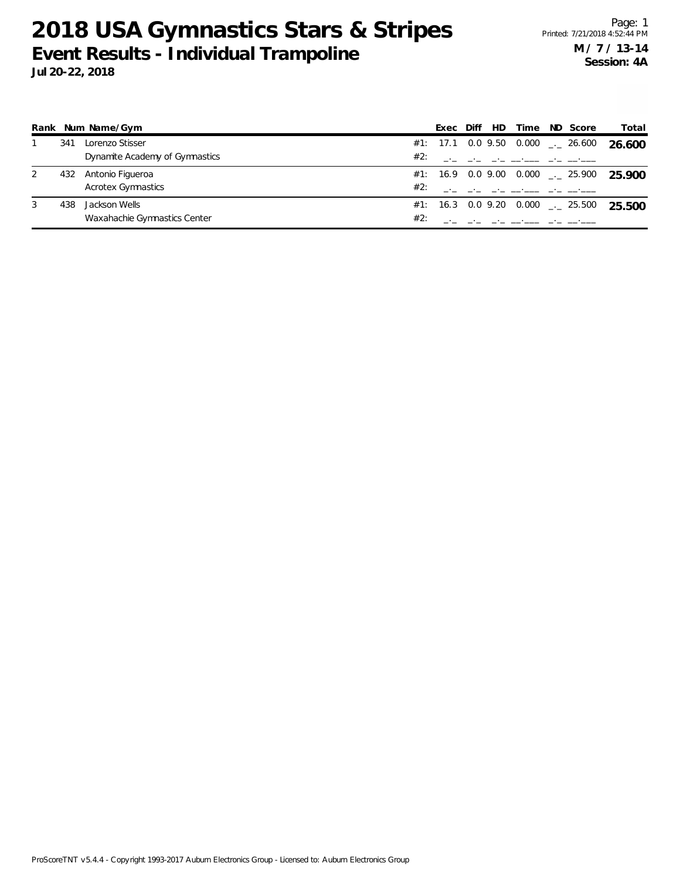|   |     | Rank Num Name/Gym              |     | Exec | Diff | HD. | Time                                                  | ND Score                               | Total  |
|---|-----|--------------------------------|-----|------|------|-----|-------------------------------------------------------|----------------------------------------|--------|
|   | 341 | Lorenzo Stisser                |     |      |      |     |                                                       | #1: 17.1 0.0 9.50 0.000 $\_\_$ 26.600  | 26.600 |
|   |     | Dynamite Academy of Gymnastics | #2: |      |      |     | the control of the control of the control of the con- |                                        |        |
|   | 432 | Antonio Figueroa               |     |      |      |     |                                                       | #1: 16.9 0.0 9.00 0.000 $\leq$ 25.900  | 25.900 |
|   |     | <b>Acrotex Gymnastics</b>      | #2: |      |      |     |                                                       |                                        |        |
| 3 | 438 | Jackson Wells                  |     |      |      |     |                                                       | $\#1$ : 16.3 0.0 9.20 0.000 _._ 25.500 | 25.500 |
|   |     | Waxahachie Gymnastics Center   | #2: |      |      |     |                                                       |                                        |        |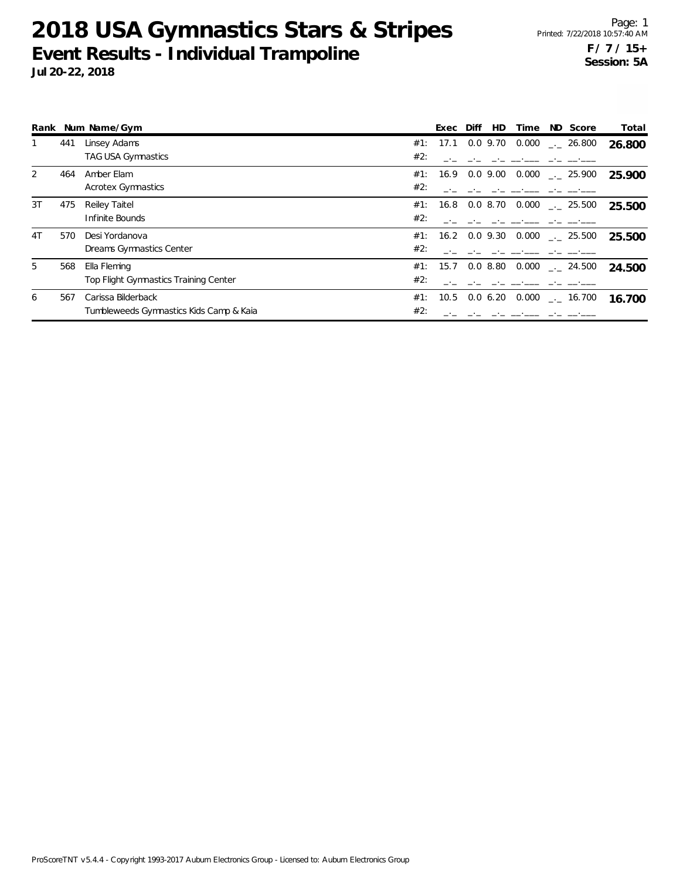|    |     | Rank Num Name/Gym                       |     | Exec              | Diff          | HD         | Time  | ND Score                                | Total  |
|----|-----|-----------------------------------------|-----|-------------------|---------------|------------|-------|-----------------------------------------|--------|
|    | 441 | Linsey Adams                            |     | #1: 17.1          |               | $0.0$ 9.70 |       | $0.000$ _ 26.800                        | 26.800 |
|    |     | TAG USA Gymnastics                      | #2: |                   |               |            |       |                                         |        |
| 2  | 464 | Amber Elam                              |     | #1: 16.9 0.0 9.00 |               |            | 0.000 | $-25.900$                               | 25.900 |
|    |     | <b>Acrotex Gymnastics</b>               | #2: |                   |               |            |       |                                         |        |
| 3T | 475 | Reiley Taitel                           |     | #1: 16.8          |               |            |       | $0.0$ 8.70 $0.000$ $_{\dots}$ 25.500    | 25.500 |
|    |     | Infinite Bounds                         | #2: |                   |               |            |       |                                         |        |
| 4T | 570 | Desi Yordanova                          | #1: |                   | 16.2 0.0 9.30 |            |       | $0.000$ $_{\leftarrow}$ 25.500          | 25.500 |
|    |     | Dreams Gymnastics Center                | #2: |                   |               |            |       |                                         |        |
| 5  | 568 | Ella Fleming                            |     |                   |               |            |       | #1: 15.7 0.0 8.80 0.000 $\ldots$ 24.500 | 24.500 |
|    |     | Top Flight Gymnastics Training Center   | #2: |                   |               |            |       |                                         |        |
| 6  | 567 | Carissa Bilderback                      | #1: | 10.5              | $0.0 \t 6.20$ |            | 0.000 | $\frac{1}{2}$ 16.700                    | 16.700 |
|    |     | Tumbleweeds Gymnastics Kids Camp & Kaia | #2: |                   |               |            |       |                                         |        |